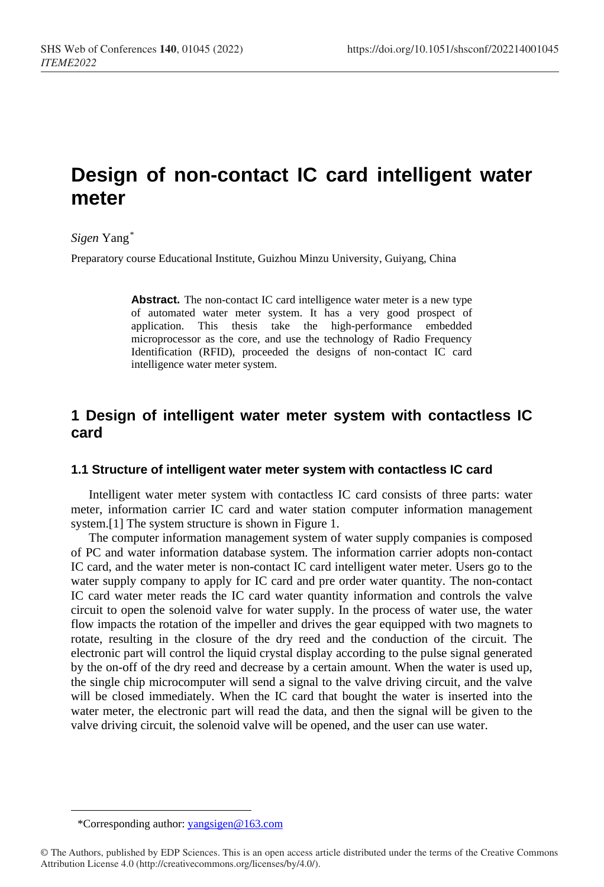# **Design of non-contact IC card intelligent water meter**

### *Sigen* Yang*[\\*](#page-0-0)*

Preparatory course Educational Institute, Guizhou Minzu University, Guiyang, China

Abstract. The non-contact IC card intelligence water meter is a new type of automated water meter system. It has a very good prospect of application. This thesis take the high-performance embedded microprocessor as the core, and use the technology of Radio Frequency Identification (RFID), proceeded the designs of non-contact IC card intelligence water meter system.

# **1 Design of intelligent water meter system with contactless IC card**

### **1.1 Structure of intelligent water meter system with contactless IC card**

Intelligent water meter system with contactless IC card consists of three parts: water meter, information carrier IC card and water station computer information management system.[1] The system structure is shown in Figure 1.

The computer information management system of water supply companies is composed of PC and water information database system. The information carrier adopts non-contact IC card, and the water meter is non-contact IC card intelligent water meter. Users go to the water supply company to apply for IC card and pre order water quantity. The non-contact IC card water meter reads the IC card water quantity information and controls the valve circuit to open the solenoid valve for water supply. In the process of water use, the water flow impacts the rotation of the impeller and drives the gear equipped with two magnets to rotate, resulting in the closure of the dry reed and the conduction of the circuit. The electronic part will control the liquid crystal display according to the pulse signal generated by the on-off of the dry reed and decrease by a certain amount. When the water is used up, the single chip microcomputer will send a signal to the valve driving circuit, and the valve will be closed immediately. When the IC card that bought the water is inserted into the water meter, the electronic part will read the data, and then the signal will be given to the valve driving circuit, the solenoid valve will be opened, and the user can use water.

 $\overline{a}$ 

<sup>\*</sup>Corresponding author: yangsigen@163.com

<span id="page-0-0"></span><sup>©</sup> The Authors, published by EDP Sciences. This is an open access article distributed under the terms of the Creative Commons Attribution License 4.0 (http://creativecommons.org/licenses/by/4.0/).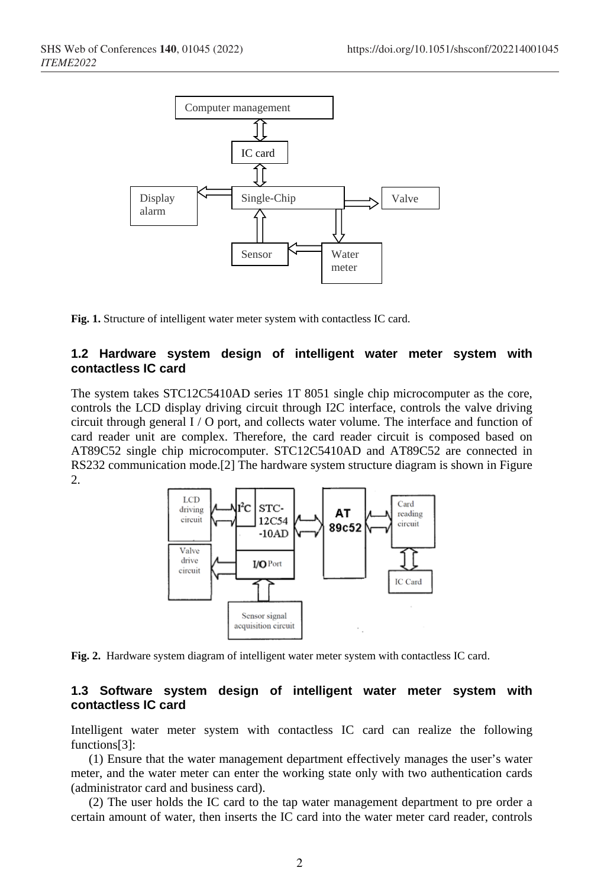

**Fig. 1.** Structure of intelligent water meter system with contactless IC card.

### **1.2 Hardware system design of intelligent water meter system with contactless IC card**

The system takes STC12C5410AD series 1T 8051 single chip microcomputer as the core, controls the LCD display driving circuit through I2C interface, controls the valve driving circuit through general I / O port, and collects water volume. The interface and function of card reader unit are complex. Therefore, the card reader circuit is composed based on AT89C52 single chip microcomputer. STC12C5410AD and AT89C52 are connected in RS232 communication mode.[2] The hardware system structure diagram is shown in Figure 2.



**Fig. 2.** Hardware system diagram of intelligent water meter system with contactless IC card.

#### **1.3 Software system design of intelligent water meter system with contactless IC card**

Intelligent water meter system with contactless IC card can realize the following functions[3]:

(1) Ensure that the water management department effectively manages the user's water meter, and the water meter can enter the working state only with two authentication cards (administrator card and business card).

(2) The user holds the IC card to the tap water management department to pre order a certain amount of water, then inserts the IC card into the water meter card reader, controls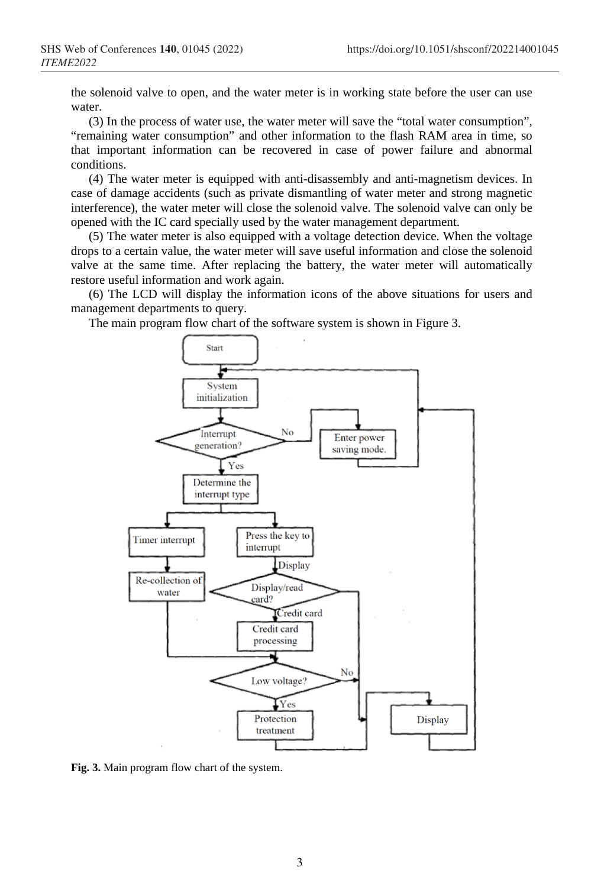the solenoid valve to open, and the water meter is in working state before the user can use water.

(3) In the process of water use, the water meter will save the "total water consumption", "remaining water consumption" and other information to the flash RAM area in time, so that important information can be recovered in case of power failure and abnormal conditions.

(4) The water meter is equipped with anti-disassembly and anti-magnetism devices. In case of damage accidents (such as private dismantling of water meter and strong magnetic interference), the water meter will close the solenoid valve. The solenoid valve can only be opened with the IC card specially used by the water management department.

(5) The water meter is also equipped with a voltage detection device. When the voltage drops to a certain value, the water meter will save useful information and close the solenoid valve at the same time. After replacing the battery, the water meter will automatically restore useful information and work again.

(6) The LCD will display the information icons of the above situations for users and management departments to query.

The main program flow chart of the software system is shown in Figure 3.



**Fig. 3.** Main program flow chart of the system.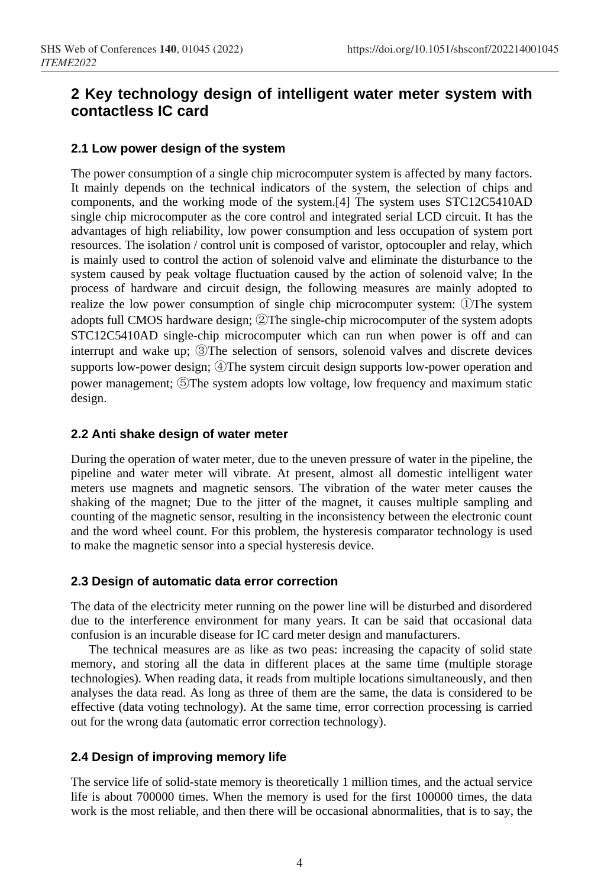# **2 Key technology design of intelligent water meter system with contactless IC card**

### **2.1 Low power design of the system**

The power consumption of a single chip microcomputer system is affected by many factors. It mainly depends on the technical indicators of the system, the selection of chips and components, and the working mode of the system.[4] The system uses STC12C5410AD single chip microcomputer as the core control and integrated serial LCD circuit. It has the advantages of high reliability, low power consumption and less occupation of system port resources. The isolation / control unit is composed of varistor, optocoupler and relay, which is mainly used to control the action of solenoid valve and eliminate the disturbance to the system caused by peak voltage fluctuation caused by the action of solenoid valve; In the process of hardware and circuit design, the following measures are mainly adopted to realize the low power consumption of single chip microcomputer system: ①The system adopts full CMOS hardware design; ②The single-chip microcomputer of the system adopts STC12C5410AD single-chip microcomputer which can run when power is off and can interrupt and wake up; ③The selection of sensors, solenoid valves and discrete devices supports low-power design;  $\bigcirc$  The system circuit design supports low-power operation and power management; ⑤The system adopts low voltage, low frequency and maximum static design.

### **2.2 Anti shake design of water meter**

During the operation of water meter, due to the uneven pressure of water in the pipeline, the pipeline and water meter will vibrate. At present, almost all domestic intelligent water meters use magnets and magnetic sensors. The vibration of the water meter causes the shaking of the magnet; Due to the jitter of the magnet, it causes multiple sampling and counting of the magnetic sensor, resulting in the inconsistency between the electronic count and the word wheel count. For this problem, the hysteresis comparator technology is used to make the magnetic sensor into a special hysteresis device.

### **2.3 Design of automatic data error correction**

The data of the electricity meter running on the power line will be disturbed and disordered due to the interference environment for many years. It can be said that occasional data confusion is an incurable disease for IC card meter design and manufacturers.

The technical measures are as like as two peas: increasing the capacity of solid state memory, and storing all the data in different places at the same time (multiple storage technologies). When reading data, it reads from multiple locations simultaneously, and then analyses the data read. As long as three of them are the same, the data is considered to be effective (data voting technology). At the same time, error correction processing is carried out for the wrong data (automatic error correction technology).

## **2.4 Design of improving memory life**

The service life of solid-state memory is theoretically 1 million times, and the actual service life is about 700000 times. When the memory is used for the first 100000 times, the data work is the most reliable, and then there will be occasional abnormalities, that is to say, the